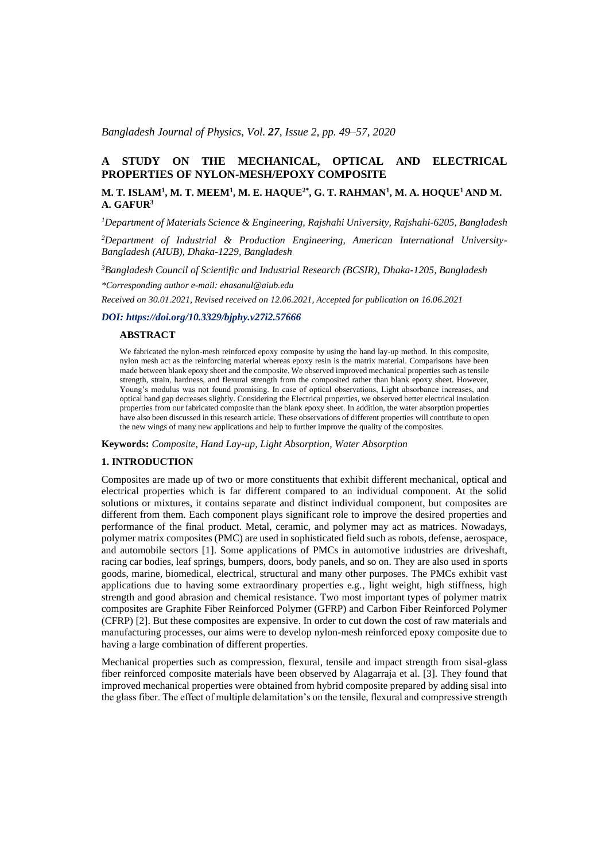## *Bangladesh Journal of Physics, Vol. 27, Issue 2, pp. 49–57, 2020*

# **A STUDY ON THE MECHANICAL, OPTICAL AND ELECTRICAL PROPERTIES OF NYLON-MESH/EPOXY COMPOSITE**

# **M. T. ISLAM<sup>1</sup> , M. T. MEEM<sup>1</sup> , M. E. HAQUE2\*, G. T. RAHMAN<sup>1</sup> , M. A. HOQUE<sup>1</sup>AND M. A. GAFUR<sup>3</sup>**

*<sup>1</sup>Department of Materials Science & Engineering, Rajshahi University, Rajshahi-6205, Bangladesh*

*2Department of Industrial & Production Engineering, American International University-Bangladesh (AIUB), Dhaka-1229, Bangladesh* 

*<sup>3</sup>Bangladesh Council of Scientific and Industrial Research (BCSIR), Dhaka-1205, Bangladesh*

*\*Corresponding author e-mail: ehasanul@aiub.edu* 

*Received on 30.01.2021, Revised received on 12.06.2021, Accepted for publication on 16.06.2021*

# *DOI: https://doi.org/10.3329/bjphy.v27i2.57666*

### **ABSTRACT**

We fabricated the nylon-mesh reinforced epoxy composite by using the hand lay-up method. In this composite, nylon mesh act as the reinforcing material whereas epoxy resin is the matrix material. Comparisons have been made between blank epoxy sheet and the composite. We observed improved mechanical properties such as tensile strength, strain, hardness, and flexural strength from the composited rather than blank epoxy sheet. However, Young's modulus was not found promising. In case of optical observations, Light absorbance increases, and optical band gap decreases slightly. Considering the Electrical properties, we observed better electrical insulation properties from our fabricated composite than the blank epoxy sheet. In addition, the water absorption properties have also been discussed in this research article. These observations of different properties will contribute to open the new wings of many new applications and help to further improve the quality of the composites.

**Keywords:** *Composite, Hand Lay-up, Light Absorption, Water Absorption*

#### **1. INTRODUCTION**

Composites are made up of two or more constituents that exhibit different mechanical, optical and electrical properties which is far different compared to an individual component. At the solid solutions or mixtures, it contains separate and distinct individual component, but composites are different from them. Each component plays significant role to improve the desired properties and performance of the final product. Metal, ceramic, and polymer may act as matrices. Nowadays, polymer matrix composites (PMC) are used in sophisticated field such as robots, defense, aerospace, and automobile sectors [1]. Some applications of PMCs in automotive industries are driveshaft, racing car bodies, leaf springs, bumpers, doors, body panels, and so on. They are also used in sports goods, marine, biomedical, electrical, structural and many other purposes. The PMCs exhibit vast applications due to having some extraordinary properties e.g., light weight, high stiffness, high strength and good abrasion and chemical resistance. Two most important types of polymer matrix composites are Graphite Fiber Reinforced Polymer (GFRP) and Carbon Fiber Reinforced Polymer (CFRP) [2]. But these composites are expensive. In order to cut down the cost of raw materials and manufacturing processes, our aims were to develop nylon-mesh reinforced epoxy composite due to having a large combination of different properties.

Mechanical properties such as compression, flexural, tensile and impact strength from sisal-glass fiber reinforced composite materials have been observed by Alagarraja et al. [3]. They found that improved mechanical properties were obtained from hybrid composite prepared by adding sisal into the glass fiber. The effect of multiple delamitation's on the tensile, flexural and compressive strength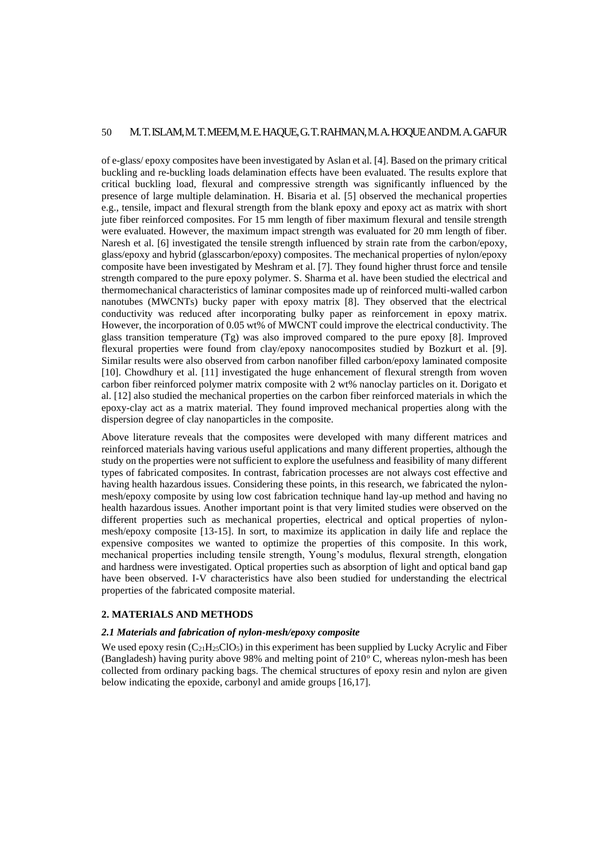# 50 M. T. ISLAM, M. T. MEEM, M. E. HAQUE, G. T. RAHMAN, M. A. HOQUEANDM. A. GAFUR

of e-glass/ epoxy composites have been investigated by Aslan et al. [4]. Based on the primary critical buckling and re-buckling loads delamination effects have been evaluated. The results explore that critical buckling load, flexural and compressive strength was significantly influenced by the presence of large multiple delamination. H. Bisaria et al. [5] observed the mechanical properties e.g., tensile, impact and flexural strength from the blank epoxy and epoxy act as matrix with short jute fiber reinforced composites. For 15 mm length of fiber maximum flexural and tensile strength were evaluated. However, the maximum impact strength was evaluated for 20 mm length of fiber. Naresh et al. [6] investigated the tensile strength influenced by strain rate from the carbon/epoxy, glass/epoxy and hybrid (glasscarbon/epoxy) composites. The mechanical properties of nylon/epoxy composite have been investigated by Meshram et al. [7]. They found higher thrust force and tensile strength compared to the pure epoxy polymer. S. Sharma et al. have been studied the electrical and thermomechanical characteristics of laminar composites made up of reinforced multi-walled carbon nanotubes (MWCNTs) bucky paper with epoxy matrix [8]. They observed that the electrical conductivity was reduced after incorporating bulky paper as reinforcement in epoxy matrix. However, the incorporation of 0.05 wt% of MWCNT could improve the electrical conductivity. The glass transition temperature (Tg) was also improved compared to the pure epoxy [8]. Improved flexural properties were found from clay/epoxy nanocomposites studied by Bozkurt et al. [9]. Similar results were also observed from carbon nanofiber filled carbon/epoxy laminated composite [10]. Chowdhury et al. [11] investigated the huge enhancement of flexural strength from woven carbon fiber reinforced polymer matrix composite with 2 wt% nanoclay particles on it. Dorigato et al. [12] also studied the mechanical properties on the carbon fiber reinforced materials in which the epoxy-clay act as a matrix material. They found improved mechanical properties along with the dispersion degree of clay nanoparticles in the composite.

Above literature reveals that the composites were developed with many different matrices and reinforced materials having various useful applications and many different properties, although the study on the properties were not sufficient to explore the usefulness and feasibility of many different types of fabricated composites. In contrast, fabrication processes are not always cost effective and having health hazardous issues. Considering these points, in this research, we fabricated the nylonmesh/epoxy composite by using low cost fabrication technique hand lay-up method and having no health hazardous issues. Another important point is that very limited studies were observed on the different properties such as mechanical properties, electrical and optical properties of nylonmesh/epoxy composite [13-15]. In sort, to maximize its application in daily life and replace the expensive composites we wanted to optimize the properties of this composite. In this work, mechanical properties including tensile strength, Young's modulus, flexural strength, elongation and hardness were investigated. Optical properties such as absorption of light and optical band gap have been observed. I-V characteristics have also been studied for understanding the electrical properties of the fabricated composite material.

### **2. MATERIALS AND METHODS**

# *2.1 Materials and fabrication of nylon-mesh/epoxy composite*

We used epoxy resin  $(C<sub>21</sub>H<sub>25</sub>ClO<sub>5</sub>)$  in this experiment has been supplied by Lucky Acrylic and Fiber (Bangladesh) having purity above 98% and melting point of  $210^{\circ}$  C, whereas nylon-mesh has been collected from ordinary packing bags. The chemical structures of epoxy resin and nylon are given below indicating the epoxide, carbonyl and amide groups [16,17].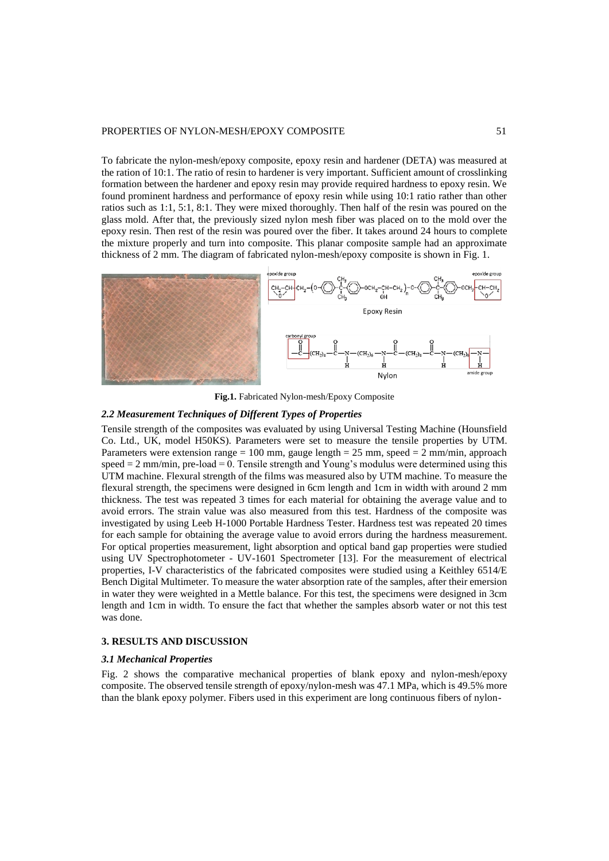To fabricate the nylon-mesh/epoxy composite, epoxy resin and hardener (DETA) was measured at the ration of 10:1. The ratio of resin to hardener is very important. Sufficient amount of crosslinking formation between the hardener and epoxy resin may provide required hardness to epoxy resin. We found prominent hardness and performance of epoxy resin while using 10:1 ratio rather than other ratios such as 1:1, 5:1, 8:1. They were mixed thoroughly. Then half of the resin was poured on the glass mold. After that, the previously sized nylon mesh fiber was placed on to the mold over the epoxy resin. Then rest of the resin was poured over the fiber. It takes around 24 hours to complete the mixture properly and turn into composite. This planar composite sample had an approximate thickness of 2 mm. The diagram of fabricated nylon-mesh/epoxy composite is shown in Fig. 1.



**Fig.1.** Fabricated Nylon-mesh/Epoxy Composite

# *2.2 Measurement Techniques of Different Types of Properties*

Tensile strength of the composites was evaluated by using Universal Testing Machine (Hounsfield Co. Ltd., UK, model H50KS). Parameters were set to measure the tensile properties by UTM. Parameters were extension range = 100 mm, gauge length =  $25$  mm, speed =  $2$  mm/min, approach speed = 2 mm/min, pre-load = 0. Tensile strength and Young's modulus were determined using this UTM machine. Flexural strength of the films was measured also by UTM machine. To measure the flexural strength, the specimens were designed in 6cm length and 1cm in width with around 2 mm thickness. The test was repeated 3 times for each material for obtaining the average value and to avoid errors. The strain value was also measured from this test. Hardness of the composite was investigated by using Leeb H-1000 Portable Hardness Tester. Hardness test was repeated 20 times for each sample for obtaining the average value to avoid errors during the hardness measurement. For optical properties measurement, light absorption and optical band gap properties were studied using UV Spectrophotometer - UV-1601 Spectrometer [13]. For the measurement of electrical properties, I-V characteristics of the fabricated composites were studied using a Keithley 6514/E Bench Digital Multimeter. To measure the water absorption rate of the samples, after their emersion in water they were weighted in a Mettle balance. For this test, the specimens were designed in 3cm length and 1cm in width. To ensure the fact that whether the samples absorb water or not this test was done.

### **3. RESULTS AND DISCUSSION**

### *3.1 Mechanical Properties*

Fig. 2 shows the comparative mechanical properties of blank epoxy and nylon-mesh/epoxy composite. The observed tensile strength of epoxy/nylon-mesh was 47.1 MPa, which is 49.5% more than the blank epoxy polymer. Fibers used in this experiment are long continuous fibers of nylon-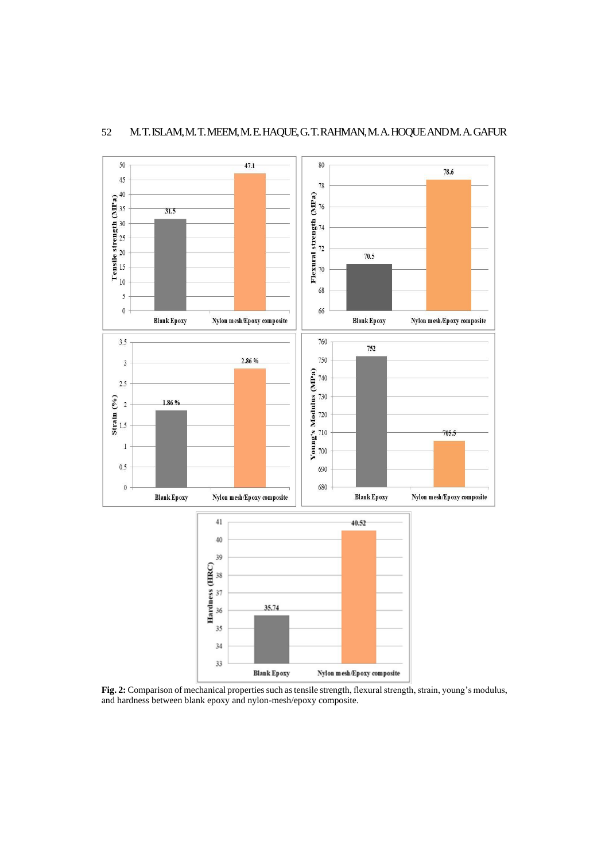

# 52 M. T. ISLAM, M. T. MEEM, M. E. HAQUE, G. T. RAHMAN, M. A. HOQUEANDM. A. GAFUR

**Fig. 2:** Comparison of mechanical properties such as tensile strength, flexural strength, strain, young's modulus, and hardness between blank epoxy and nylon-mesh/epoxy composite.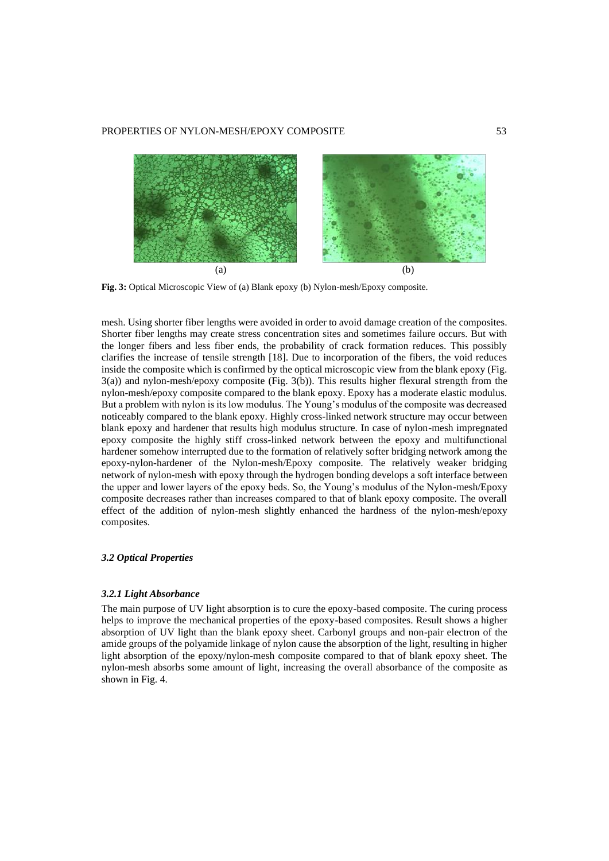

**Fig. 3:** Optical Microscopic View of (a) Blank epoxy (b) Nylon-mesh/Epoxy composite.

mesh. Using shorter fiber lengths were avoided in order to avoid damage creation of the composites. Shorter fiber lengths may create stress concentration sites and sometimes failure occurs. But with the longer fibers and less fiber ends, the probability of crack formation reduces. This possibly clarifies the increase of tensile strength [18]. Due to incorporation of the fibers, the void reduces inside the composite which is confirmed by the optical microscopic view from the blank epoxy (Fig. 3(a)) and nylon-mesh/epoxy composite (Fig. 3(b)). This results higher flexural strength from the nylon-mesh/epoxy composite compared to the blank epoxy. Epoxy has a moderate elastic modulus. But a problem with nylon is its low modulus. The Young's modulus of the composite was decreased noticeably compared to the blank epoxy. Highly cross-linked network structure may occur between blank epoxy and hardener that results high modulus structure. In case of nylon-mesh impregnated epoxy composite the highly stiff cross-linked network between the epoxy and multifunctional hardener somehow interrupted due to the formation of relatively softer bridging network among the epoxy-nylon-hardener of the Nylon-mesh/Epoxy composite. The relatively weaker bridging network of nylon-mesh with epoxy through the hydrogen bonding develops a soft interface between the upper and lower layers of the epoxy beds. So, the Young's modulus of the Nylon-mesh/Epoxy composite decreases rather than increases compared to that of blank epoxy composite. The overall effect of the addition of nylon-mesh slightly enhanced the hardness of the nylon-mesh/epoxy composites.

### *3.2 Optical Properties*

### *3.2.1 Light Absorbance*

The main purpose of UV light absorption is to cure the epoxy-based composite. The curing process helps to improve the mechanical properties of the epoxy-based composites. Result shows a higher absorption of UV light than the blank epoxy sheet. Carbonyl groups and non-pair electron of the amide groups of the polyamide linkage of nylon cause the absorption of the light, resulting in higher light absorption of the epoxy/nylon-mesh composite compared to that of blank epoxy sheet. The nylon-mesh absorbs some amount of light, increasing the overall absorbance of the composite as shown in Fig. 4.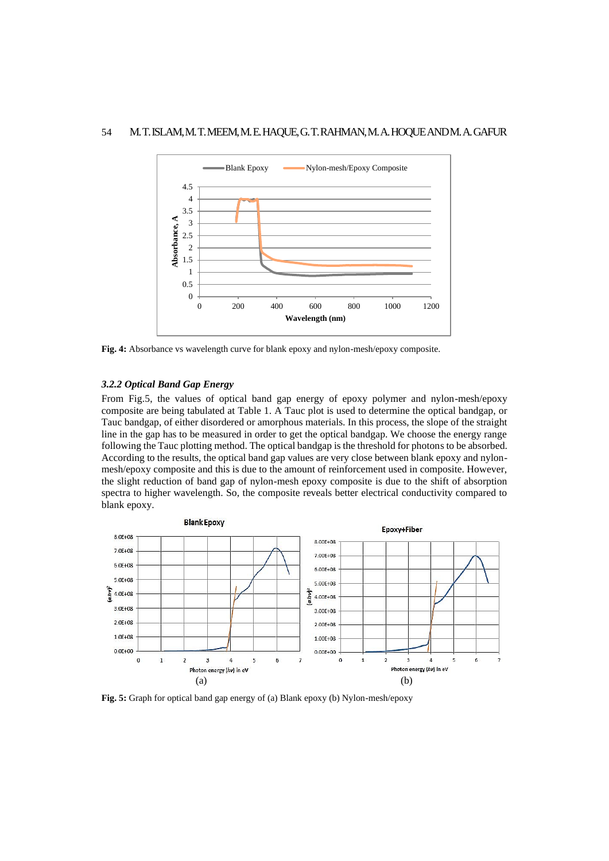

**Fig. 4:** Absorbance vs wavelength curve for blank epoxy and nylon-mesh/epoxy composite.

### *3.2.2 Optical Band Gap Energy*

From Fig.5, the values of optical band gap energy of epoxy polymer and nylon-mesh/epoxy composite are being tabulated at Table 1. A Tauc plot is used to determine the optical bandgap, or Tauc bandgap, of either disordered or amorphous materials. In this process, the slope of the straight line in the gap has to be measured in order to get the optical bandgap. We choose the energy range following the Tauc plotting method. The optical bandgap is the threshold for photons to be absorbed. According to the results, the optical band gap values are very close between blank epoxy and nylonmesh/epoxy composite and this is due to the amount of reinforcement used in composite. However, the slight reduction of band gap of nylon-mesh epoxy composite is due to the shift of absorption spectra to higher wavelength. So, the composite reveals better electrical conductivity compared to blank epoxy.



**Fig. 5:** Graph for optical band gap energy of (a) Blank epoxy (b) Nylon-mesh/epoxy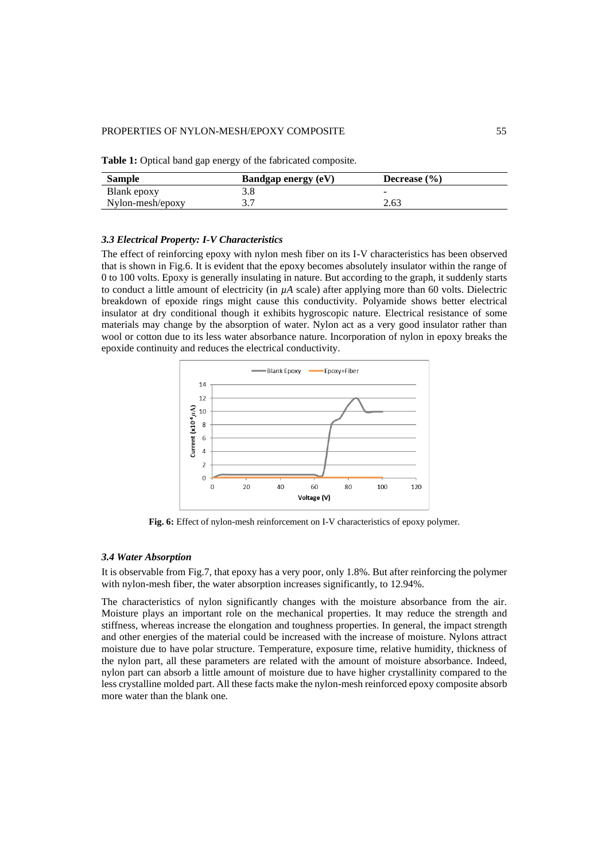**Table 1:** Optical band gap energy of the fabricated composite.

| <b>Sample</b>    | <b>Bandgap energy (eV)</b> | Decrease $(\% )$ |
|------------------|----------------------------|------------------|
| Blank epoxy      |                            | -                |
| Nylon-mesh/epoxy |                            | 2.63             |

# *3.3 Electrical Property: I-V Characteristics*

The effect of reinforcing epoxy with nylon mesh fiber on its I-V characteristics has been observed that is shown in Fig.6. It is evident that the epoxy becomes absolutely insulator within the range of 0 to 100 volts. Epoxy is generally insulating in nature. But according to the graph, it suddenly starts to conduct a little amount of electricity (in *µA* scale) after applying more than 60 volts. Dielectric breakdown of epoxide rings might cause this conductivity. Polyamide shows better electrical insulator at dry conditional though it exhibits hygroscopic nature. Electrical resistance of some materials may change by the absorption of water. Nylon act as a very good insulator rather than wool or cotton due to its less water absorbance nature. Incorporation of nylon in epoxy breaks the epoxide continuity and reduces the electrical conductivity.



**Fig. 6:** Effect of nylon-mesh reinforcement on I-V characteristics of epoxy polymer*.*

# *3.4 Water Absorption*

It is observable from Fig.7, that epoxy has a very poor, only 1.8%. But after reinforcing the polymer with nylon-mesh fiber, the water absorption increases significantly, to 12.94%.

The characteristics of nylon significantly changes with the moisture absorbance from the air. Moisture plays an important role on the mechanical properties. It may reduce the strength and stiffness, whereas increase the elongation and toughness properties. In general, the impact strength and other energies of the material could be increased with the increase of moisture. Nylons attract moisture due to have polar structure. Temperature, exposure time, relative humidity, thickness of the nylon part, all these parameters are related with the amount of moisture absorbance. Indeed, nylon part can absorb a little amount of moisture due to have higher crystallinity compared to the less crystalline molded part. All these facts make the nylon-mesh reinforced epoxy composite absorb more water than the blank one.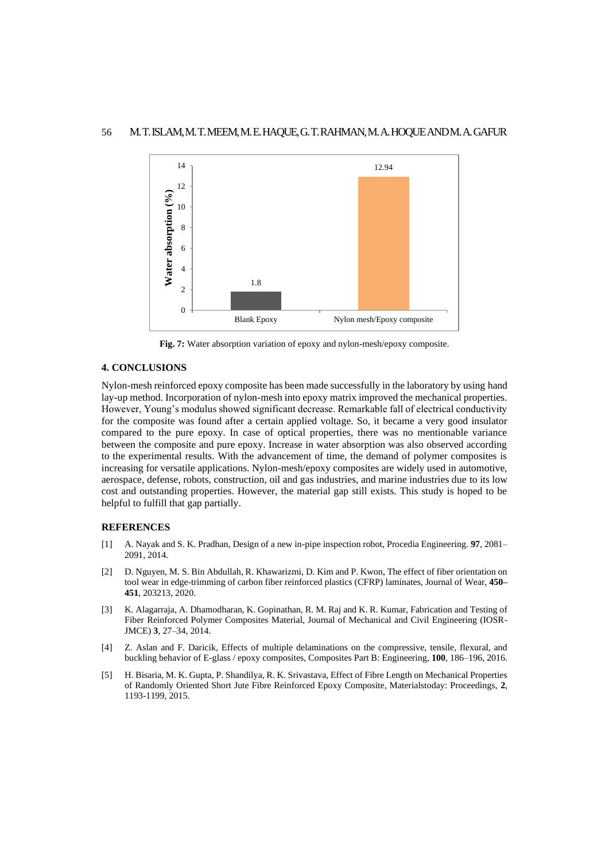

**Fig. 7:** Water absorption variation of epoxy and nylon-mesh/epoxy composite.

# **4. CONCLUSIONS**

Nylon-mesh reinforced epoxy composite has been made successfully in the laboratory by using hand lay-up method. Incorporation of nylon-mesh into epoxy matrix improved the mechanical properties. However, Young's modulus showed significant decrease. Remarkable fall of electrical conductivity for the composite was found after a certain applied voltage. So, it became a very good insulator compared to the pure epoxy. In case of optical properties, there was no mentionable variance between the composite and pure epoxy. Increase in water absorption was also observed according to the experimental results. With the advancement of time, the demand of polymer composites is increasing for versatile applications. Nylon-mesh/epoxy composites are widely used in automotive, aerospace, defense, robots, construction, oil and gas industries, and marine industries due to its low cost and outstanding properties. However, the material gap still exists. This study is hoped to be helpful to fulfill that gap partially.

### **REFERENCES**

- [1] A. Nayak and S. K. Pradhan, Design of a new in-pipe inspection robot, Procedia Engineering. **97**, 2081– 2091, 2014.
- [2] D. Nguyen, M. S. Bin Abdullah, R. Khawarizmi, D. Kim and P. Kwon, The effect of fiber orientation on tool wear in edge-trimming of carbon fiber reinforced plastics (CFRP) laminates, Journal of Wear, **450– 451**, 203213, 2020.
- [3] K. Alagarraja, A. Dhamodharan, K. Gopinathan, R. M. Raj and K. R. Kumar, Fabrication and Testing of Fiber Reinforced Polymer Composites Material, Journal of Mechanical and Civil Engineering (IOSR-JMCE) **3**, 27–34, 2014.
- [4] Z. Aslan and F. Daricik, Effects of multiple delaminations on the compressive, tensile, flexural, and buckling behavior of E-glass / epoxy composites, Composites Part B: Engineering, **100**, 186–196, 2016.
- [5] [H. Bisaria, M. K. Gupta, P. Shandilya, R. K. Srivastava,](https://www.sciencedirect.com/science/article/pii/S221478531500276X#!) Effect of Fibre Length on Mechanical Properties of Randomly Oriented Short Jute Fibre Reinforced Epoxy Composite, Materialstoday: Proceedings, **2**, 1193-1199, 2015.